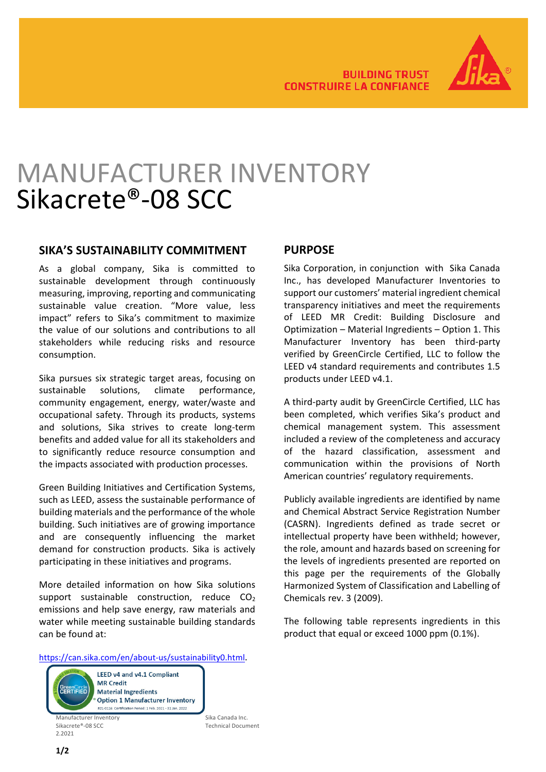

# MANUFACTURER INVENTORY Sikacrete®-08 SCC

### **SIKA'S SUSTAINABILITY COMMITMENT**

As a global company, Sika is committed to sustainable development through continuously measuring, improving, reporting and communicating sustainable value creation. "More value, less impact" refers to Sika's commitment to maximize the value of our solutions and contributions to all stakeholders while reducing risks and resource consumption.

Sika pursues six strategic target areas, focusing on sustainable solutions, climate performance, community engagement, energy, water/waste and occupational safety. Through its products, systems and solutions, Sika strives to create long-term benefits and added value for all its stakeholders and to significantly reduce resource consumption and the impacts associated with production processes.

Green Building Initiatives and Certification Systems, such as LEED, assess the sustainable performance of building materials and the performance of the whole building. Such initiatives are of growing importance and are consequently influencing the market demand for construction products. Sika is actively participating in these initiatives and programs.

More detailed information on how Sika solutions support sustainable construction, reduce  $CO<sub>2</sub>$ emissions and help save energy, raw materials and water while meeting sustainable building standards can be found at:

## **PURPOSE**

Sika Corporation, in conjunction with Sika Canada Inc., has developed Manufacturer Inventories to support our customers' material ingredient chemical transparency initiatives and meet the requirements of LEED MR Credit: Building Disclosure and Optimization – Material Ingredients – Option 1. This Manufacturer Inventory has been third-party verified by GreenCircle Certified, LLC to follow the LEED v4 standard requirements and contributes 1.5 products under LEED v4.1.

A third-party audit by GreenCircle Certified, LLC has been completed, which verifies Sika's product and chemical management system. This assessment included a review of the completeness and accuracy of the hazard classification, assessment and communication within the provisions of North American countries' regulatory requirements.

Publicly available ingredients are identified by name and Chemical Abstract Service Registration Number (CASRN). Ingredients defined as trade secret or intellectual property have been withheld; however, the role, amount and hazards based on screening for the levels of ingredients presented are reported on this page per the requirements of the Globally Harmonized System of Classification and Labelling of Chemicals rev. 3 (2009).

The following table represents ingredients in this product that equal or exceed 1000 ppm (0.1%).

[https://can.sika.com/en/about-us/sustainability0.html.](https://can.sika.com/en/about-us/sustainability0.html)



Technical Document